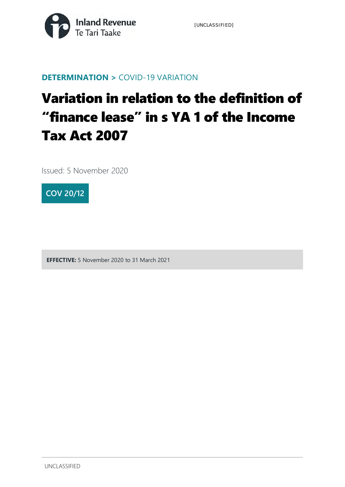

#### **DETERMINATION >** COVID-19 VARIATION

# Variation in relation to the definition of "finance lease" in s YA 1 of the Income Tax Act 2007

Issued: 5 November 2020



**EFFECTIVE:** 5 November 2020 to 31 March 2021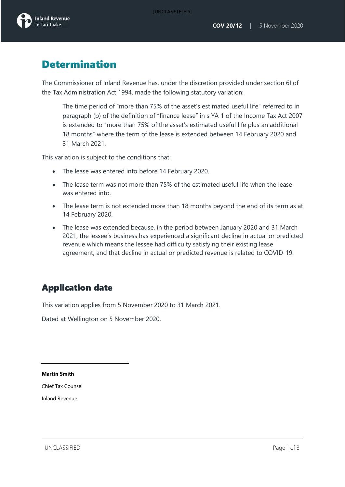## Determination

The Commissioner of Inland Revenue has, under the discretion provided under section 6I of the Tax Administration Act 1994, made the following statutory variation:

The time period of "more than 75% of the asset's estimated useful life" referred to in paragraph (b) of the definition of "finance lease" in s YA 1 of the Income Tax Act 2007 is extended to "more than 75% of the asset's estimated useful life plus an additional 18 months" where the term of the lease is extended between 14 February 2020 and 31 March 2021.

This variation is subject to the conditions that:

- The lease was entered into before 14 February 2020.
- The lease term was not more than 75% of the estimated useful life when the lease was entered into.
- The lease term is not extended more than 18 months beyond the end of its term as at 14 February 2020.
- The lease was extended because, in the period between January 2020 and 31 March 2021, the lessee's business has experienced a significant decline in actual or predicted revenue which means the lessee had difficulty satisfying their existing lease agreement, and that decline in actual or predicted revenue is related to COVID-19.

### Application date

This variation applies from 5 November 2020 to 31 March 2021.

Dated at Wellington on 5 November 2020.

**Martin Smith**

Chief Tax Counsel

Inland Revenue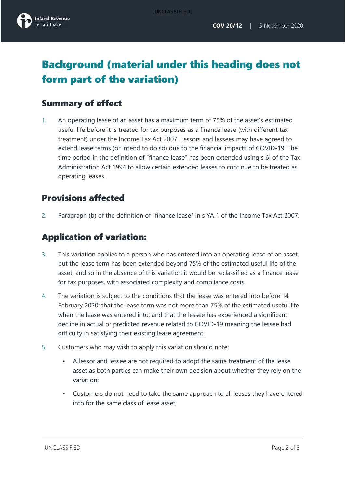# Background (material under this heading does not form part of the variation)

#### Summary of effect

1. An operating lease of an asset has a maximum term of 75% of the asset's estimated useful life before it is treated for tax purposes as a finance lease (with different tax treatment) under the Income Tax Act 2007. Lessors and lessees may have agreed to extend lease terms (or intend to do so) due to the financial impacts of COVID-19. The time period in the definition of "finance lease" has been extended using s 6I of the Tax Administration Act 1994 to allow certain extended leases to continue to be treated as operating leases.

#### Provisions affected

2. Paragraph (b) of the definition of "finance lease" in s YA 1 of the Income Tax Act 2007.

#### Application of variation:

- 3. This variation applies to a person who has entered into an operating lease of an asset, but the lease term has been extended beyond 75% of the estimated useful life of the asset, and so in the absence of this variation it would be reclassified as a finance lease for tax purposes, with associated complexity and compliance costs.
- 4. The variation is subject to the conditions that the lease was entered into before 14 February 2020; that the lease term was not more than 75% of the estimated useful life when the lease was entered into; and that the lessee has experienced a significant decline in actual or predicted revenue related to COVID-19 meaning the lessee had difficulty in satisfying their existing lease agreement.
- 5. Customers who may wish to apply this variation should note:
	- A lessor and lessee are not required to adopt the same treatment of the lease asset as both parties can make their own decision about whether they rely on the variation;
	- Customers do not need to take the same approach to all leases they have entered into for the same class of lease asset;